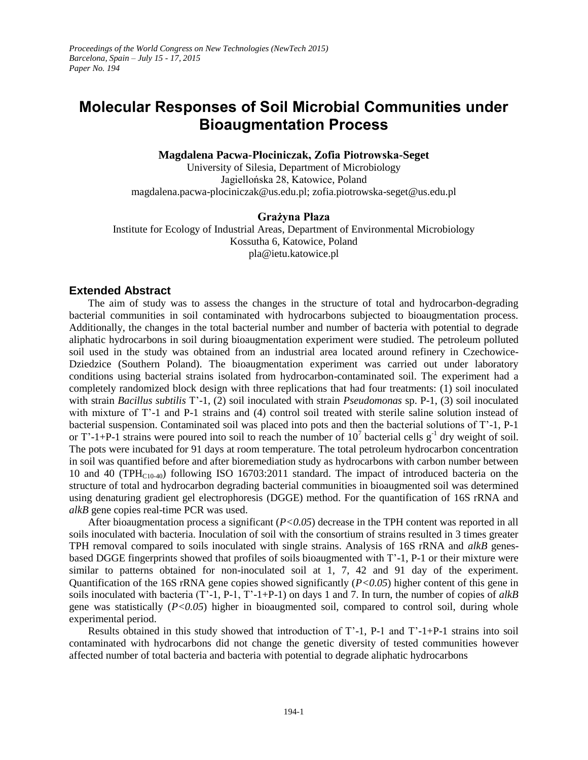## **Molecular Responses of Soil Microbial Communities under Bioaugmentation Process**

**Magdalena Pacwa-Płociniczak, Zofia Piotrowska-Seget**

University of Silesia, Department of Microbiology Jagiellońska 28, Katowice, Poland magdalena.pacwa-plociniczak@us.edu.pl; zofia.piotrowska-seget@us.edu.pl

## **Grażyna Płaza**

Institute for Ecology of Industrial Areas, Department of Environmental Microbiology Kossutha 6, Katowice, Poland pla@ietu.katowice.pl

## **Extended Abstract**

The aim of study was to assess the changes in the structure of total and hydrocarbon-degrading bacterial communities in soil contaminated with hydrocarbons subjected to bioaugmentation process. Additionally, the changes in the total bacterial number and number of bacteria with potential to degrade aliphatic hydrocarbons in soil during bioaugmentation experiment were studied. The petroleum polluted soil used in the study was obtained from an industrial area located around refinery in Czechowice-Dziedzice (Southern Poland). The bioaugmentation experiment was carried out under laboratory conditions using bacterial strains isolated from hydrocarbon-contaminated soil. The experiment had a completely randomized block design with three replications that had four treatments: (1) soil inoculated with strain *Bacillus subtilis* T'-1, (2) soil inoculated with strain *Pseudomonas* sp. P-1, (3) soil inoculated with mixture of T'-1 and P-1 strains and (4) control soil treated with sterile saline solution instead of bacterial suspension. Contaminated soil was placed into pots and then the bacterial solutions of T'-1, P-1 or T'-1+P-1 strains were poured into soil to reach the number of  $10^7$  bacterial cells  $g^{-1}$  dry weight of soil. The pots were incubated for 91 days at room temperature. The total petroleum hydrocarbon concentration in soil was quantified before and after bioremediation study as hydrocarbons with carbon number between 10 and 40 (TPH<sub>C10-40</sub>) following ISO 16703:2011 standard. The impact of introduced bacteria on the structure of total and hydrocarbon degrading bacterial communities in bioaugmented soil was determined using denaturing gradient gel electrophoresis (DGGE) method. For the quantification of 16S rRNA and *alkB* gene copies real-time PCR was used.

After bioaugmentation process a significant (*P<0.05*) decrease in the TPH content was reported in all soils inoculated with bacteria. Inoculation of soil with the consortium of strains resulted in 3 times greater TPH removal compared to soils inoculated with single strains. Analysis of 16S rRNA and *alkB* genesbased DGGE fingerprints showed that profiles of soils bioaugmented with T'-1, P-1 or their mixture were similar to patterns obtained for non-inoculated soil at 1, 7, 42 and 91 day of the experiment. Quantification of the 16S rRNA gene copies showed significantly (*P<0.05*) higher content of this gene in soils inoculated with bacteria (T'-1, P-1, T'-1+P-1) on days 1 and 7. In turn, the number of copies of *alkB* gene was statistically (*P<0.05*) higher in bioaugmented soil, compared to control soil, during whole experimental period.

Results obtained in this study showed that introduction of T'-1, P-1 and T'-1+P-1 strains into soil contaminated with hydrocarbons did not change the genetic diversity of tested communities however affected number of total bacteria and bacteria with potential to degrade aliphatic hydrocarbons